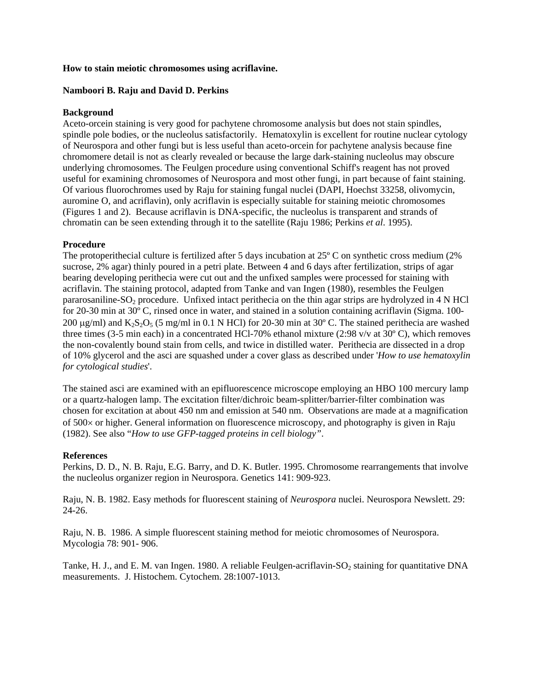#### **How to stain meiotic chromosomes using acriflavine.**

### **Namboori B. Raju and David D. Perkins**

### **Background**

Aceto-orcein staining is very good for pachytene chromosome analysis but does not stain spindles, spindle pole bodies, or the nucleolus satisfactorily. Hematoxylin is excellent for routine nuclear cytology of Neurospora and other fungi but is less useful than aceto-orcein for pachytene analysis because fine chromomere detail is not as clearly revealed or because the large dark-staining nucleolus may obscure underlying chromosomes. The Feulgen procedure using conventional Schiff's reagent has not proved useful for examining chromosomes of Neurospora and most other fungi, in part because of faint staining. Of various fluorochromes used by Raju for staining fungal nuclei (DAPI, Hoechst 33258, olivomycin, auromine O, and acriflavin), only acriflavin is especially suitable for staining meiotic chromosomes (Figures 1 and 2). Because acriflavin is DNA-specific, the nucleolus is transparent and strands of chromatin can be seen extending through it to the satellite (Raju 1986; Perkins *et al*. 1995).

# **Procedure**

The protoperithecial culture is fertilized after 5 days incubation at 25º C on synthetic cross medium (2% sucrose, 2% agar) thinly poured in a petri plate. Between 4 and 6 days after fertilization, strips of agar bearing developing perithecia were cut out and the unfixed samples were processed for staining with acriflavin. The staining protocol, adapted from Tanke and van Ingen (1980), resembles the Feulgen pararosaniline- $SO<sub>2</sub>$  procedure. Unfixed intact perithecia on the thin agar strips are hydrolyzed in 4 N HCl for 20-30 min at 30º C, rinsed once in water, and stained in a solution containing acriflavin (Sigma. 100- 200  $\mu$ g/ml) and K<sub>2</sub>S<sub>2</sub>O<sub>5</sub> (5 mg/ml in 0.1 N HCl) for 20-30 min at 30° C. The stained perithecia are washed three times (3-5 min each) in a concentrated HCl-70% ethanol mixture (2:98 v/v at 30º C), which removes the non-covalently bound stain from cells, and twice in distilled water. Perithecia are dissected in a drop of 10% glycerol and the asci are squashed under a cover glass as described under '*How to use hematoxylin for cytological studies*'.

The stained asci are examined with an epifluorescence microscope employing an HBO 100 mercury lamp or a quartz-halogen lamp. The excitation filter/dichroic beam-splitter/barrier-filter combination was chosen for excitation at about 450 nm and emission at 540 nm. Observations are made at a magnification of 500× or higher. General information on fluorescence microscopy, and photography is given in Raju (1982). See also "*How to use GFP-tagged proteins in cell biology"*.

# **References**

Perkins, D. D., N. B. Raju, E.G. Barry, and D. K. Butler. 1995. Chromosome rearrangements that involve the nucleolus organizer region in Neurospora. Genetics 141: 909-923.

Raju, N. B. 1982. Easy methods for fluorescent staining of *Neurospora* nuclei. Neurospora Newslett. 29: 24-26.

Raju, N. B. 1986. A simple fluorescent staining method for meiotic chromosomes of Neurospora. Mycologia 78: 901- 906.

Tanke, H. J., and E. M. van Ingen. 1980. A reliable Feulgen-acriflavin- $SO_2$  staining for quantitative DNA measurements. J. Histochem. Cytochem. 28:1007-1013.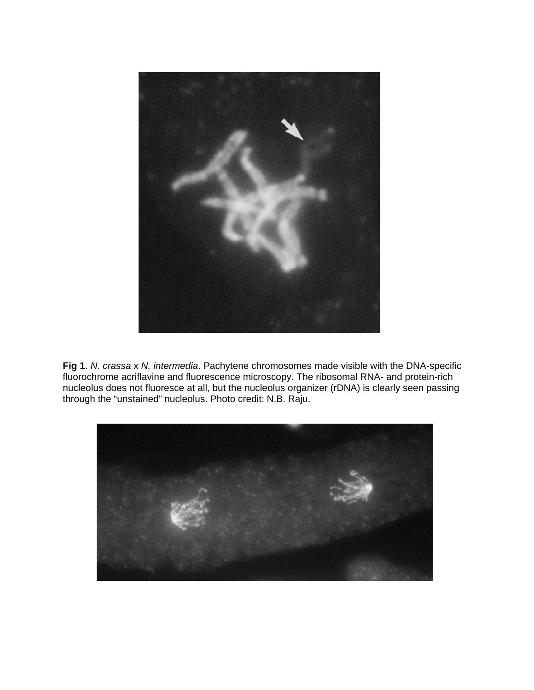

**Fig 1**. *N. crassa* x *N. intermedia*. Pachytene chromosomes made visible with the DNA-specific fluorochrome acriflavine and fluorescence microscopy. The ribosomal RNA- and protein-rich nucleolus does not fluoresce at all, but the nucleolus organizer (rDNA) is clearly seen passing through the "unstained" nucleolus. Photo credit: N.B. Raju.